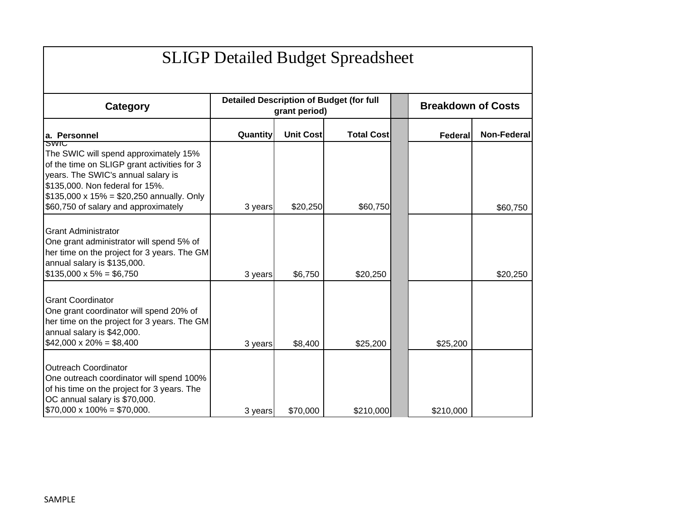| <b>SLIGP Detailed Budget Spreadsheet</b>                                                                                                                                                                                                                         |          |                  |                                                 |  |                           |                    |
|------------------------------------------------------------------------------------------------------------------------------------------------------------------------------------------------------------------------------------------------------------------|----------|------------------|-------------------------------------------------|--|---------------------------|--------------------|
| <b>Category</b>                                                                                                                                                                                                                                                  |          | grant period)    | <b>Detailed Description of Budget (for full</b> |  | <b>Breakdown of Costs</b> |                    |
| a. Personnel                                                                                                                                                                                                                                                     | Quantity | <b>Unit Cost</b> | <b>Total Cost</b>                               |  | <b>Federal</b>            | <b>Non-Federal</b> |
| SWIC<br>The SWIC will spend approximately 15%<br>of the time on SLIGP grant activities for 3<br>years. The SWIC's annual salary is<br>\$135,000. Non federal for 15%.<br>$$135,000 \times 15\% = $20,250$ annually. Only<br>\$60,750 of salary and approximately | 3 years  | \$20,250         | \$60,750                                        |  |                           | \$60,750           |
| <b>Grant Administrator</b><br>One grant administrator will spend 5% of<br>her time on the project for 3 years. The GM<br>annual salary is \$135,000.<br>$$135,000 \times 5\% = $6,750$                                                                           | 3 years  | \$6,750          | \$20,250                                        |  |                           | \$20,250           |
| <b>Grant Coordinator</b><br>One grant coordinator will spend 20% of<br>her time on the project for 3 years. The GM<br>annual salary is \$42,000.<br>$$42,000 \times 20\% = $8,400$                                                                               | 3 years  | \$8,400          | \$25,200                                        |  | \$25,200                  |                    |
| <b>Outreach Coordinator</b><br>One outreach coordinator will spend 100%<br>of his time on the project for 3 years. The<br>OC annual salary is \$70,000.<br>$$70,000 \times 100\% = $70,000.$                                                                     | 3 years  | \$70,000         | \$210,000                                       |  | \$210,000                 |                    |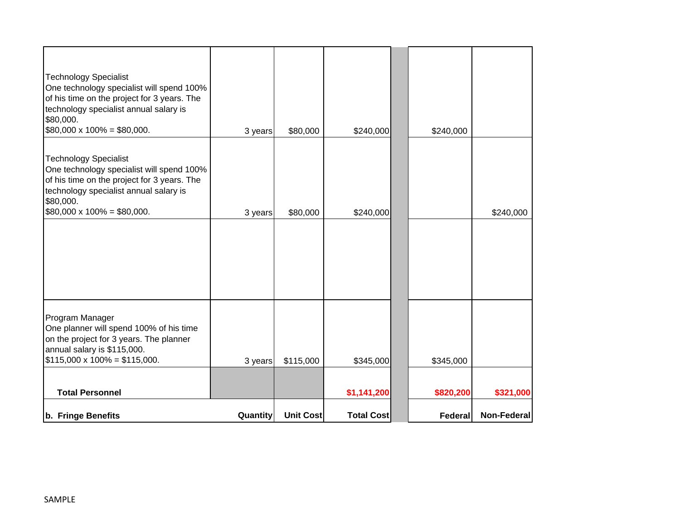| b. Fringe Benefits                                                                                                                                                                                                   | Quantity | <b>Unit Cost</b> | <b>Total Cost</b> | Federal   | <b>Non-Federal</b> |
|----------------------------------------------------------------------------------------------------------------------------------------------------------------------------------------------------------------------|----------|------------------|-------------------|-----------|--------------------|
| <b>Total Personnel</b>                                                                                                                                                                                               |          |                  | \$1,141,200       | \$820,200 | \$321,000          |
| Program Manager<br>One planner will spend 100% of his time<br>on the project for 3 years. The planner<br>annual salary is \$115,000.<br>$$115,000 \times 100\% = $115,000.$                                          | 3 years  | \$115,000        | \$345,000         | \$345,000 |                    |
| $$80,000 \times 100\% = $80,000.$                                                                                                                                                                                    | 3 years  | \$80,000         | \$240,000         |           | \$240,000          |
| <b>Technology Specialist</b><br>One technology specialist will spend 100%<br>of his time on the project for 3 years. The<br>technology specialist annual salary is<br>\$80,000.                                      |          |                  |                   |           |                    |
| <b>Technology Specialist</b><br>One technology specialist will spend 100%<br>of his time on the project for 3 years. The<br>technology specialist annual salary is<br>\$80,000.<br>$$80,000 \times 100\% = $80,000.$ | 3 years  | \$80,000         | \$240,000         | \$240,000 |                    |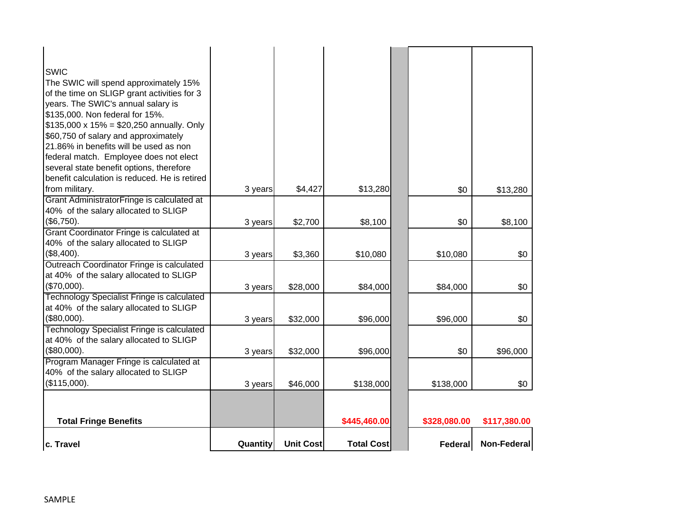| c. Travel                                                                                                                                                                                                                                                                                                                                                                                                                                                                  | Quantity | <b>Unit Cost</b> | <b>Total Cost</b> | <b>Federal</b> | <b>Non-Federal</b> |
|----------------------------------------------------------------------------------------------------------------------------------------------------------------------------------------------------------------------------------------------------------------------------------------------------------------------------------------------------------------------------------------------------------------------------------------------------------------------------|----------|------------------|-------------------|----------------|--------------------|
| <b>Total Fringe Benefits</b>                                                                                                                                                                                                                                                                                                                                                                                                                                               |          |                  | \$445,460.00      | \$328,080.00   | \$117,380.00       |
| Program Manager Fringe is calculated at<br>40% of the salary allocated to SLIGP<br>(\$115,000).                                                                                                                                                                                                                                                                                                                                                                            | 3 years  | \$46,000         | \$138,000         | \$138,000      | \$0                |
| Technology Specialist Fringe is calculated<br>at 40% of the salary allocated to SLIGP<br>(\$80,000).                                                                                                                                                                                                                                                                                                                                                                       | 3 years  | \$32,000         | \$96,000          | \$0            | \$96,000           |
| <b>Technology Specialist Fringe is calculated</b><br>at 40% of the salary allocated to SLIGP<br>(\$80,000).                                                                                                                                                                                                                                                                                                                                                                | 3 years  | \$32,000         | \$96,000          | \$96,000       | \$0                |
| Outreach Coordinator Fringe is calculated<br>at 40% of the salary allocated to SLIGP<br>(\$70,000).                                                                                                                                                                                                                                                                                                                                                                        | 3 years  | \$28,000         | \$84,000          | \$84,000       | \$0                |
| Grant Coordinator Fringe is calculated at<br>40% of the salary allocated to SLIGP<br>(\$8,400).                                                                                                                                                                                                                                                                                                                                                                            | 3 years  | \$3,360          | \$10,080          | \$10,080       | \$0                |
| Grant AdministratorFringe is calculated at<br>40% of the salary allocated to SLIGP<br>(\$6,750).                                                                                                                                                                                                                                                                                                                                                                           | 3 years  | \$2,700          | \$8,100           | \$0            | \$8,100            |
| <b>SWIC</b><br>The SWIC will spend approximately 15%<br>of the time on SLIGP grant activities for 3<br>years. The SWIC's annual salary is<br>\$135,000. Non federal for 15%.<br>$$135,000 \times 15\% = $20,250$ annually. Only<br>\$60,750 of salary and approximately<br>21.86% in benefits will be used as non<br>federal match. Employee does not elect<br>several state benefit options, therefore<br>benefit calculation is reduced. He is retired<br>from military. | 3 years  | \$4,427          | \$13,280          | \$0            | \$13,280           |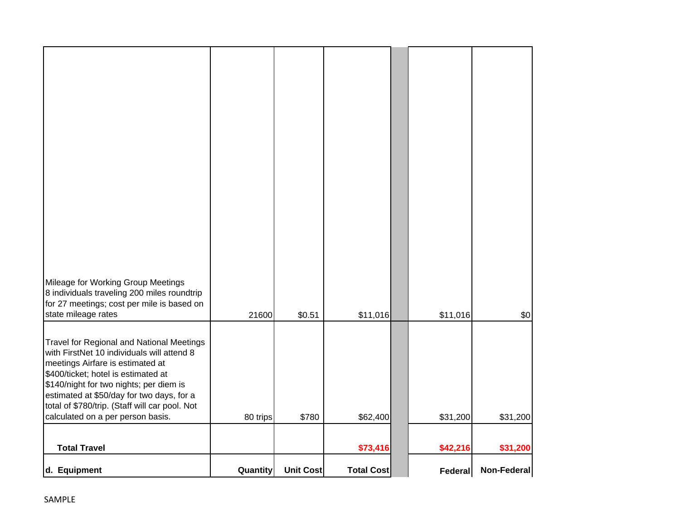| d. Equipment                                                                                                                                                                                                                                                                                                                                             | Quantity | <b>Unit Cost</b> | <b>Total Cost</b> | Federal  | Non-Federal |
|----------------------------------------------------------------------------------------------------------------------------------------------------------------------------------------------------------------------------------------------------------------------------------------------------------------------------------------------------------|----------|------------------|-------------------|----------|-------------|
| <b>Total Travel</b>                                                                                                                                                                                                                                                                                                                                      |          |                  | \$73,416          | \$42,216 | \$31,200    |
| <b>Travel for Regional and National Meetings</b><br>with FirstNet 10 individuals will attend 8<br>meetings Airfare is estimated at<br>\$400/ticket; hotel is estimated at<br>\$140/night for two nights; per diem is<br>estimated at \$50/day for two days, for a<br>total of \$780/trip. (Staff will car pool. Not<br>calculated on a per person basis. | 80 trips | \$780            | \$62,400          | \$31,200 | \$31,200    |
| Mileage for Working Group Meetings<br>8 individuals traveling 200 miles roundtrip<br>for 27 meetings; cost per mile is based on<br>state mileage rates                                                                                                                                                                                                   | 21600    | \$0.51           | \$11,016          | \$11,016 | \$0         |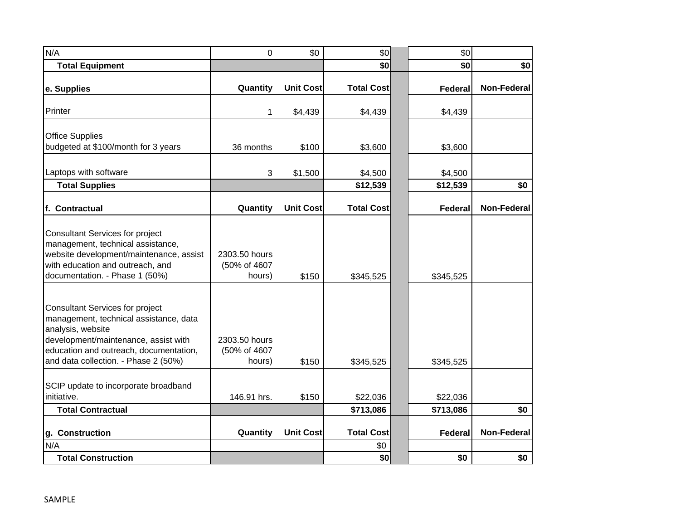| N/A                                                                                                                                                                                                                      | 0                                       | \$0              | \$0               | \$0            |                    |
|--------------------------------------------------------------------------------------------------------------------------------------------------------------------------------------------------------------------------|-----------------------------------------|------------------|-------------------|----------------|--------------------|
| <b>Total Equipment</b>                                                                                                                                                                                                   |                                         |                  | \$0               | \$0            | \$0                |
| e. Supplies                                                                                                                                                                                                              | Quantity                                | <b>Unit Cost</b> | <b>Total Cost</b> | <b>Federal</b> | <b>Non-Federal</b> |
| Printer                                                                                                                                                                                                                  | 1                                       | \$4,439          | \$4,439           | \$4,439        |                    |
| <b>Office Supplies</b><br>budgeted at \$100/month for 3 years                                                                                                                                                            | 36 months                               | \$100            | \$3,600           | \$3,600        |                    |
| Laptops with software                                                                                                                                                                                                    | 3                                       | \$1,500          | \$4,500           | \$4,500        |                    |
| <b>Total Supplies</b>                                                                                                                                                                                                    |                                         |                  | \$12,539          | \$12,539       | \$0                |
| f. Contractual                                                                                                                                                                                                           | Quantity                                | <b>Unit Cost</b> | <b>Total Cost</b> | <b>Federal</b> | <b>Non-Federal</b> |
| <b>Consultant Services for project</b><br>management, technical assistance,<br>website development/maintenance, assist<br>with education and outreach, and<br>documentation. - Phase 1 (50%)                             | 2303.50 hours<br>(50% of 4607<br>hours) | \$150            | \$345,525         | \$345,525      |                    |
| Consultant Services for project<br>management, technical assistance, data<br>analysis, website<br>development/maintenance, assist with<br>education and outreach, documentation,<br>and data collection. - Phase 2 (50%) | 2303.50 hours<br>(50% of 4607<br>hours) | \$150            | \$345,525         | \$345,525      |                    |
| SCIP update to incorporate broadband<br>initiative.                                                                                                                                                                      | 146.91 hrs.                             | \$150            | \$22,036          | \$22,036       |                    |
| <b>Total Contractual</b>                                                                                                                                                                                                 |                                         |                  | \$713,086         | \$713,086      | \$0                |
| g. Construction                                                                                                                                                                                                          | Quantity                                | <b>Unit Cost</b> | <b>Total Cost</b> | <b>Federal</b> | <b>Non-Federal</b> |
| N/A                                                                                                                                                                                                                      |                                         |                  | \$0               |                |                    |
| <b>Total Construction</b>                                                                                                                                                                                                |                                         |                  | \$0               | \$0            | \$0                |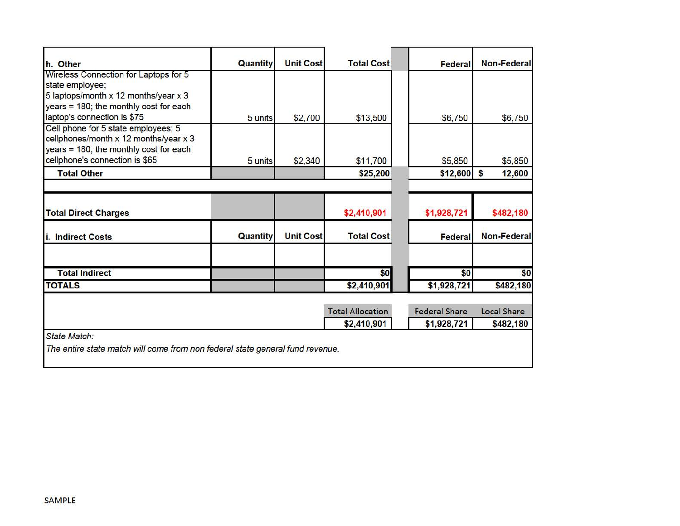| h. Other                                                                                                                                   | <b>Quantity</b> | <b>Unit Cost</b> | <b>Total Cost</b>       | Federal              | <b>Non-Federal</b> |
|--------------------------------------------------------------------------------------------------------------------------------------------|-----------------|------------------|-------------------------|----------------------|--------------------|
| Wireless Connection for Laptops for 5<br>state employee;<br>5 laptops/month x 12 months/year x 3<br>years = 180; the monthly cost for each |                 |                  |                         |                      |                    |
| laptop's connection is \$75                                                                                                                | 5 units         | \$2,700          | \$13,500                | \$6,750              | \$6,750            |
| Cell phone for 5 state employees; 5<br>cellphones/month x 12 months/year x 3<br>years = 180; the monthly cost for each                     |                 |                  |                         |                      |                    |
| cellphone's connection is \$65                                                                                                             | 5 units         | \$2,340          | \$11,700                | \$5,850              | \$5,850            |
| <b>Total Other</b>                                                                                                                         |                 |                  | \$25,200                | $$12,600$ \$         | 12,600             |
| <b>Total Direct Charges</b>                                                                                                                |                 |                  | \$2,410,901             | \$1,928,721          | \$482,180          |
| i. Indirect Costs                                                                                                                          | Quantity        | <b>Unit Cost</b> | <b>Total Cost</b>       | <b>Federal</b>       | <b>Non-Federal</b> |
| <b>Total Indirect</b>                                                                                                                      |                 |                  | \$0                     | \$0                  | \$0                |
| <b>TOTALS</b>                                                                                                                              |                 |                  | \$2,410,901             | \$1,928,721          | \$482,180          |
|                                                                                                                                            |                 |                  |                         |                      |                    |
|                                                                                                                                            |                 |                  | <b>Total Allocation</b> | <b>Federal Share</b> | <b>Local Share</b> |
|                                                                                                                                            |                 |                  | \$2,410,901             | \$1,928,721          | \$482,180          |
| State Match:                                                                                                                               |                 |                  |                         |                      |                    |
| The entire state match will come from non federal state general fund revenue.                                                              |                 |                  |                         |                      |                    |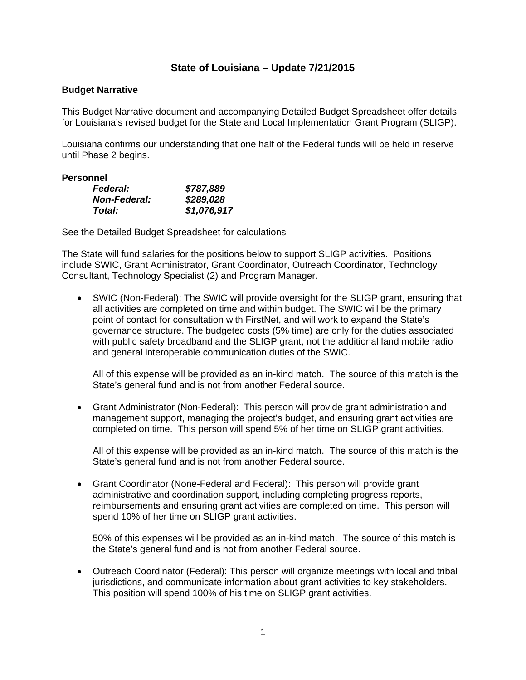# **State of Louisiana – Update 7/21/2015**

# **Budget Narrative**

This Budget Narrative document and accompanying Detailed Budget Spreadsheet offer details for Louisiana's revised budget for the State and Local Implementation Grant Program (SLIGP).

Louisiana confirms our understanding that one half of the Federal funds will be held in reserve until Phase 2 begins.

# **Personnel**

| <b>Federal:</b>     | \$787,889   |
|---------------------|-------------|
| <b>Non-Federal:</b> | \$289,028   |
| Total:              | \$1,076,917 |

See the Detailed Budget Spreadsheet for calculations

The State will fund salaries for the positions below to support SLIGP activities. Positions include SWIC, Grant Administrator, Grant Coordinator, Outreach Coordinator, Technology Consultant, Technology Specialist (2) and Program Manager.

 SWIC (Non-Federal): The SWIC will provide oversight for the SLIGP grant, ensuring that all activities are completed on time and within budget. The SWIC will be the primary point of contact for consultation with FirstNet, and will work to expand the State's governance structure. The budgeted costs (5% time) are only for the duties associated with public safety broadband and the SLIGP grant, not the additional land mobile radio and general interoperable communication duties of the SWIC.

All of this expense will be provided as an in-kind match. The source of this match is the State's general fund and is not from another Federal source.

 Grant Administrator (Non-Federal): This person will provide grant administration and management support, managing the project's budget, and ensuring grant activities are completed on time. This person will spend 5% of her time on SLIGP grant activities.

All of this expense will be provided as an in-kind match. The source of this match is the State's general fund and is not from another Federal source.

 Grant Coordinator (None-Federal and Federal): This person will provide grant administrative and coordination support, including completing progress reports, reimbursements and ensuring grant activities are completed on time. This person will spend 10% of her time on SLIGP grant activities.

50% of this expenses will be provided as an in-kind match. The source of this match is the State's general fund and is not from another Federal source.

 Outreach Coordinator (Federal): This person will organize meetings with local and tribal jurisdictions, and communicate information about grant activities to key stakeholders. This position will spend 100% of his time on SLIGP grant activities.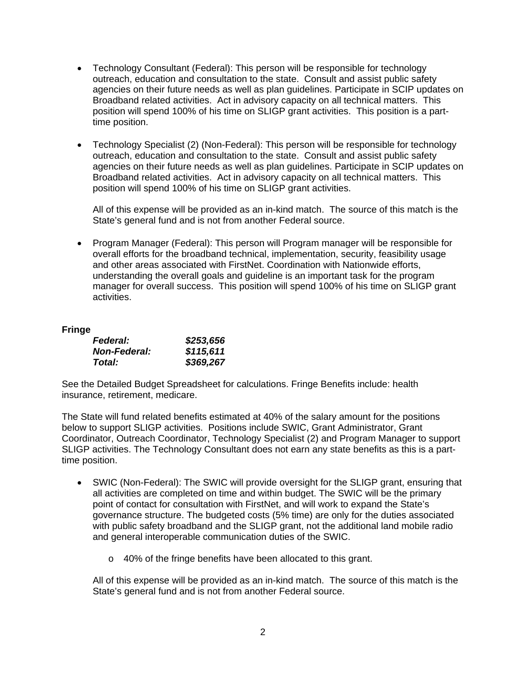- Technology Consultant (Federal): This person will be responsible for technology outreach, education and consultation to the state. Consult and assist public safety agencies on their future needs as well as plan guidelines. Participate in SCIP updates on Broadband related activities. Act in advisory capacity on all technical matters. This position will spend 100% of his time on SLIGP grant activities. This position is a parttime position.
- Technology Specialist (2) (Non-Federal): This person will be responsible for technology outreach, education and consultation to the state. Consult and assist public safety agencies on their future needs as well as plan guidelines. Participate in SCIP updates on Broadband related activities. Act in advisory capacity on all technical matters. This position will spend 100% of his time on SLIGP grant activities.

All of this expense will be provided as an in-kind match. The source of this match is the State's general fund and is not from another Federal source.

 Program Manager (Federal): This person will Program manager will be responsible for overall efforts for the broadband technical, implementation, security, feasibility usage and other areas associated with FirstNet. Coordination with Nationwide efforts, understanding the overall goals and guideline is an important task for the program manager for overall success. This position will spend 100% of his time on SLIGP grant activities.

# **Fringe**

| <b>Federal:</b>     | \$253,656 |
|---------------------|-----------|
| <b>Non-Federal:</b> | \$115,611 |
| Total:              | \$369,267 |

See the Detailed Budget Spreadsheet for calculations. Fringe Benefits include: health insurance, retirement, medicare.

The State will fund related benefits estimated at 40% of the salary amount for the positions below to support SLIGP activities. Positions include SWIC, Grant Administrator, Grant Coordinator, Outreach Coordinator, Technology Specialist (2) and Program Manager to support SLIGP activities. The Technology Consultant does not earn any state benefits as this is a parttime position.

- SWIC (Non-Federal): The SWIC will provide oversight for the SLIGP grant, ensuring that all activities are completed on time and within budget. The SWIC will be the primary point of contact for consultation with FirstNet, and will work to expand the State's governance structure. The budgeted costs (5% time) are only for the duties associated with public safety broadband and the SLIGP grant, not the additional land mobile radio and general interoperable communication duties of the SWIC.
	- o 40% of the fringe benefits have been allocated to this grant.

All of this expense will be provided as an in-kind match. The source of this match is the State's general fund and is not from another Federal source.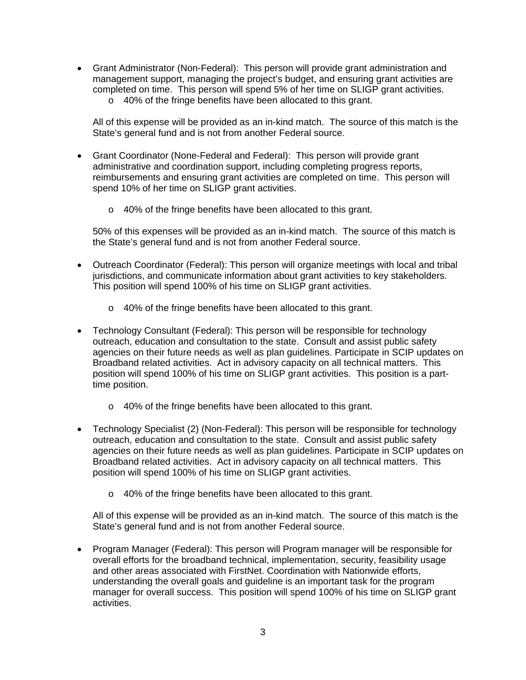- Grant Administrator (Non-Federal): This person will provide grant administration and management support, managing the project's budget, and ensuring grant activities are completed on time. This person will spend 5% of her time on SLIGP grant activities.
	- o 40% of the fringe benefits have been allocated to this grant.

All of this expense will be provided as an in-kind match. The source of this match is the State's general fund and is not from another Federal source.

- Grant Coordinator (None-Federal and Federal): This person will provide grant administrative and coordination support, including completing progress reports, reimbursements and ensuring grant activities are completed on time. This person will spend 10% of her time on SLIGP grant activities.
	- o 40% of the fringe benefits have been allocated to this grant.

50% of this expenses will be provided as an in-kind match. The source of this match is the State's general fund and is not from another Federal source.

- Outreach Coordinator (Federal): This person will organize meetings with local and tribal jurisdictions, and communicate information about grant activities to key stakeholders. This position will spend 100% of his time on SLIGP grant activities.
	- o 40% of the fringe benefits have been allocated to this grant.
- Technology Consultant (Federal): This person will be responsible for technology outreach, education and consultation to the state. Consult and assist public safety agencies on their future needs as well as plan guidelines. Participate in SCIP updates on Broadband related activities. Act in advisory capacity on all technical matters. This position will spend 100% of his time on SLIGP grant activities. This position is a parttime position.
	- o 40% of the fringe benefits have been allocated to this grant.
- Technology Specialist (2) (Non-Federal): This person will be responsible for technology outreach, education and consultation to the state. Consult and assist public safety agencies on their future needs as well as plan guidelines. Participate in SCIP updates on Broadband related activities. Act in advisory capacity on all technical matters. This position will spend 100% of his time on SLIGP grant activities.
	- o 40% of the fringe benefits have been allocated to this grant.

All of this expense will be provided as an in-kind match. The source of this match is the State's general fund and is not from another Federal source.

• Program Manager (Federal): This person will Program manager will be responsible for overall efforts for the broadband technical, implementation, security, feasibility usage and other areas associated with FirstNet. Coordination with Nationwide efforts, understanding the overall goals and guideline is an important task for the program manager for overall success. This position will spend 100% of his time on SLIGP grant activities.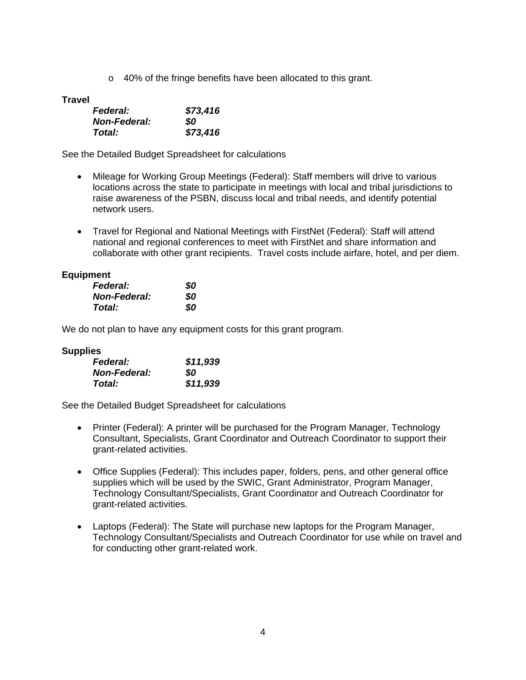o 40% of the fringe benefits have been allocated to this grant.

**Travel** 

| <b>Federal:</b>     | \$73,416 |
|---------------------|----------|
| <b>Non-Federal:</b> | SO.      |
| Total:              | \$73,416 |

See the Detailed Budget Spreadsheet for calculations

- Mileage for Working Group Meetings (Federal): Staff members will drive to various locations across the state to participate in meetings with local and tribal jurisdictions to raise awareness of the PSBN, discuss local and tribal needs, and identify potential network users.
- Travel for Regional and National Meetings with FirstNet (Federal): Staff will attend national and regional conferences to meet with FirstNet and share information and collaborate with other grant recipients. Travel costs include airfare, hotel, and per diem.

# **Equipment**

| <b>Federal:</b>     | \$0 |
|---------------------|-----|
| <b>Non-Federal:</b> | SO  |
| Total:              | SO  |

We do not plan to have any equipment costs for this grant program.

## **Supplies**

| <b>Federal:</b>     | \$11,939 |
|---------------------|----------|
| <b>Non-Federal:</b> | SO.      |
| Total:              | \$11,939 |

See the Detailed Budget Spreadsheet for calculations

- Printer (Federal): A printer will be purchased for the Program Manager, Technology Consultant, Specialists, Grant Coordinator and Outreach Coordinator to support their grant-related activities.
- Office Supplies (Federal): This includes paper, folders, pens, and other general office supplies which will be used by the SWIC, Grant Administrator, Program Manager, Technology Consultant/Specialists, Grant Coordinator and Outreach Coordinator for grant-related activities.
- Laptops (Federal): The State will purchase new laptops for the Program Manager, Technology Consultant/Specialists and Outreach Coordinator for use while on travel and for conducting other grant-related work.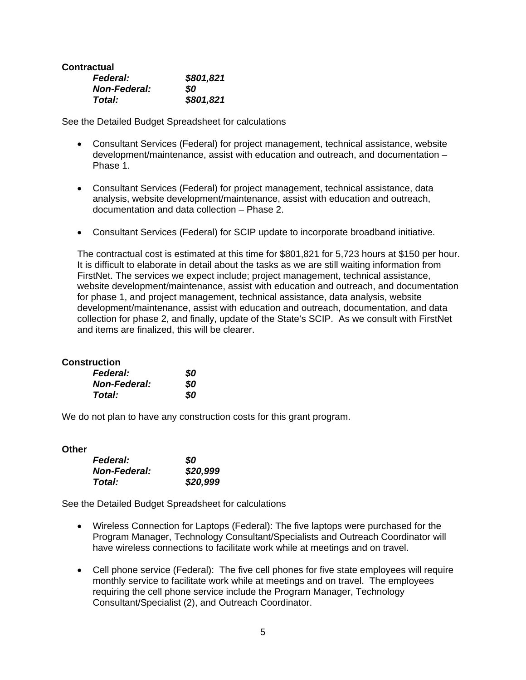# **Contractual**

| <b>Federal:</b>     | \$801,821 |
|---------------------|-----------|
| <b>Non-Federal:</b> | SO.       |
| Total:              | \$801,821 |

See the Detailed Budget Spreadsheet for calculations

- Consultant Services (Federal) for project management, technical assistance, website development/maintenance, assist with education and outreach, and documentation – Phase 1.
- Consultant Services (Federal) for project management, technical assistance, data analysis, website development/maintenance, assist with education and outreach, documentation and data collection – Phase 2.
- Consultant Services (Federal) for SCIP update to incorporate broadband initiative.

The contractual cost is estimated at this time for \$801,821 for 5,723 hours at \$150 per hour. It is difficult to elaborate in detail about the tasks as we are still waiting information from FirstNet. The services we expect include; project management, technical assistance, website development/maintenance, assist with education and outreach, and documentation for phase 1, and project management, technical assistance, data analysis, website development/maintenance, assist with education and outreach, documentation, and data collection for phase 2, and finally, update of the State's SCIP. As we consult with FirstNet and items are finalized, this will be clearer.

# **Construction**

| <b>Federal:</b>     | 80 |
|---------------------|----|
| <b>Non-Federal:</b> | 80 |
| Total:              | 80 |

We do not plan to have any construction costs for this grant program.

### **Other**

| <b>Federal:</b>     | \$0      |
|---------------------|----------|
| <b>Non-Federal:</b> | \$20,999 |
| Total:              | \$20,999 |

See the Detailed Budget Spreadsheet for calculations

- Wireless Connection for Laptops (Federal): The five laptops were purchased for the Program Manager, Technology Consultant/Specialists and Outreach Coordinator will have wireless connections to facilitate work while at meetings and on travel.
- Cell phone service (Federal): The five cell phones for five state employees will require monthly service to facilitate work while at meetings and on travel. The employees requiring the cell phone service include the Program Manager, Technology Consultant/Specialist (2), and Outreach Coordinator.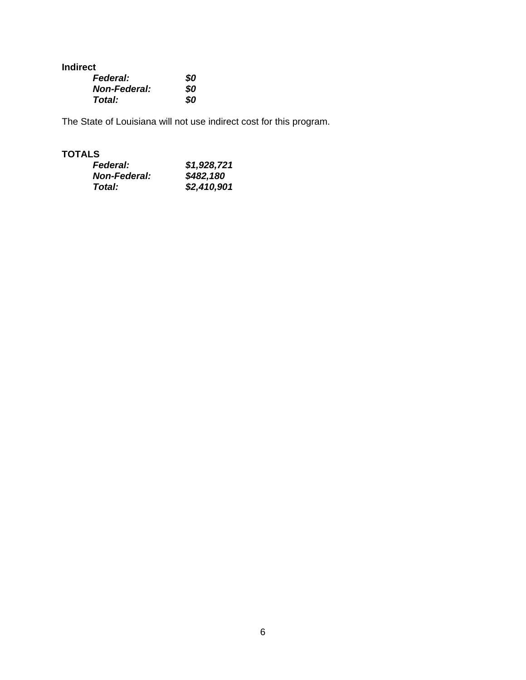**Indirect** 

| <b>Federal:</b>     | 80 |
|---------------------|----|
| <b>Non-Federal:</b> | SO |
| Total:              | 80 |

The State of Louisiana will not use indirect cost for this program.

# **TOTALS**

| <b>Federal:</b>     | \$1,928,721 |
|---------------------|-------------|
| <b>Non-Federal:</b> | \$482,180   |
| Total:              | \$2,410,901 |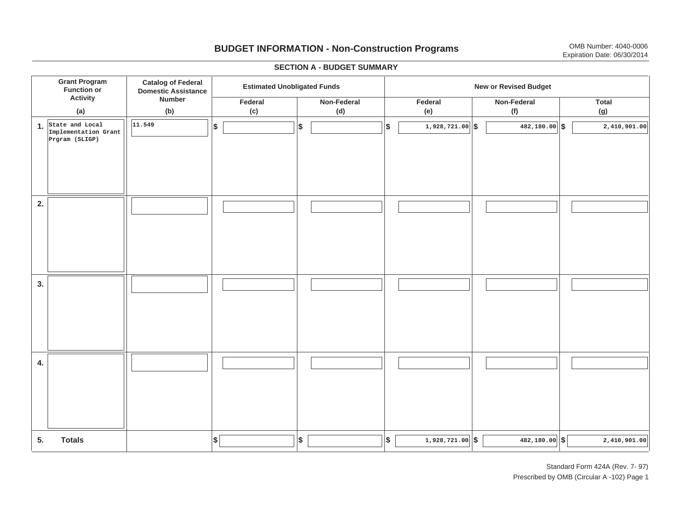# **BUDGET INFORMATION - Non-Construction Programs** OMB Number: 4040-0006 Expiration Date: 06/30/2014

**\$ Grant Program Function or Activity (a) Catalog of Federal Domestic Assistance Number (b) Estimated Unobligated Funds New or Revised Budget Federal(c) Non-Federal(d) Federal(e) Non-Federal (f) Total(g) 5. Totals4. 3. 2. 1.State and Local \$\$\$\$ \$ \$ \$ \$ \$ 1,928,721.00 482,180.00 2,410,901.00 Implementation Grant Prgram (SLIGP) 11.5491,928,721.00 6 482,180.00 6 2,410,901.00 6** 

### **SECTION A - BUDGET SUMMARY**

Standard Form 424A (Rev. 7- 97) Prescribed by OMB (Circular A -102) Page 1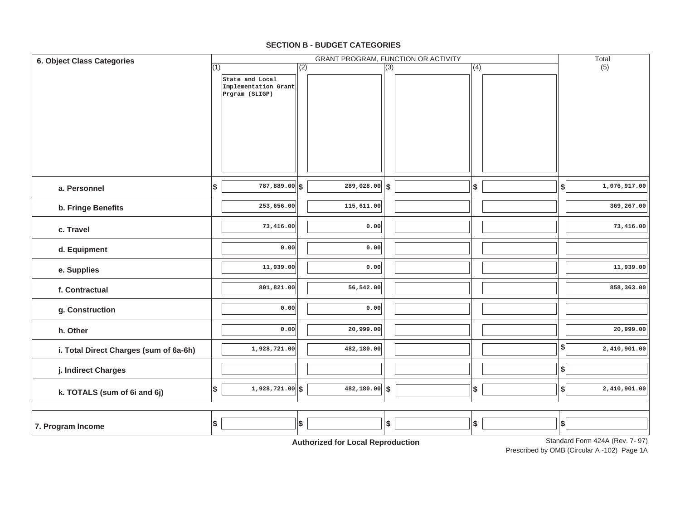#### **7. Program Income d. Equipment e. Supplies f. Contractualg. Construction h. Otherj. Indirect Charges k. TOTALS (sum of 6i and 6j) i. Total Direct Charges (sum of 6a-6h)** (1) Standard Form 424A (Rev. 7- 97) GRANT PROGRAM, FUNCTION OR ACTIVITY (2) (3) (4) (5) **6. Object Class Categories** Total **a. Personnelb. Fringe Benefits c. TravelState and Local Implementation Grant Prgram (SLIGP) 787,889.00 \$ \$ \$ \$ \$ 253,656.00 73,416.00 0.0011,939.00 801,821.00 0.000.001,928,721.00 1,928,721.00 \$ \$ \$ \$ \$ 289,028.00 115,611.00 0.000.000.0056,542.00 0.0020,999.00 482,180.00 482,180.00 1,076,917.00 369,267.00 73,416.00 11,939.00 858,363.00 20,999.00 2,410,901.00 2,410,901.00 \$ \$ \$ \$ \$ \$ \$**

### **SECTION B - BUDGET CATEGORIES**

**Authorized for Local Reproduction**

Prescribed by OMB (Circular A -102) Page 1A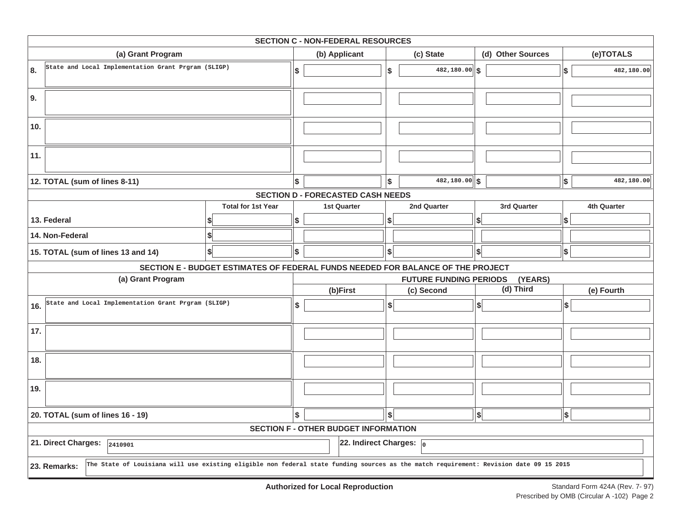|                                  | <b>SECTION C - NON-FEDERAL RESOURCES</b>                                                                                                               |                                                                                 |                    |                                             |                                          |               |                              |                   |            |             |  |  |  |  |
|----------------------------------|--------------------------------------------------------------------------------------------------------------------------------------------------------|---------------------------------------------------------------------------------|--------------------|---------------------------------------------|------------------------------------------|---------------|------------------------------|-------------------|------------|-------------|--|--|--|--|
|                                  | (a) Grant Program                                                                                                                                      |                                                                                 | (b) Applicant      |                                             |                                          | (c) State     |                              | (d) Other Sources |            | (e)TOTALS   |  |  |  |  |
| 8.                               | State and Local Implementation Grant Prgram (SLIGP)                                                                                                    |                                                                                 | \$                 |                                             | \$                                       | 482,180.00    | \$                           |                   | \$         | 482,180.00  |  |  |  |  |
| 9.                               |                                                                                                                                                        |                                                                                 |                    |                                             |                                          |               |                              |                   |            |             |  |  |  |  |
| 10.                              |                                                                                                                                                        |                                                                                 |                    |                                             |                                          |               |                              |                   |            |             |  |  |  |  |
| 11.                              |                                                                                                                                                        |                                                                                 |                    |                                             |                                          |               |                              |                   |            |             |  |  |  |  |
|                                  | 12. TOTAL (sum of lines 8-11)                                                                                                                          |                                                                                 | \$                 |                                             | \$                                       | 482,180.00 \$ |                              |                   | \$         | 482,180.00  |  |  |  |  |
|                                  |                                                                                                                                                        |                                                                                 |                    | <b>SECTION D - FORECASTED CASH NEEDS</b>    |                                          |               |                              |                   |            |             |  |  |  |  |
|                                  |                                                                                                                                                        | <b>Total for 1st Year</b>                                                       | <b>1st Quarter</b> |                                             |                                          | 2nd Quarter   |                              | 3rd Quarter       |            | 4th Quarter |  |  |  |  |
|                                  | 13. Federal                                                                                                                                            | \$                                                                              |                    | S                                           |                                          | S             |                              | \$                |            |             |  |  |  |  |
|                                  | 14. Non-Federal                                                                                                                                        |                                                                                 |                    |                                             |                                          |               |                              |                   |            |             |  |  |  |  |
|                                  | 15. TOTAL (sum of lines 13 and 14)                                                                                                                     | \$                                                                              | \$                 |                                             | \$                                       |               | \$l                          |                   | \$         |             |  |  |  |  |
|                                  |                                                                                                                                                        | SECTION E - BUDGET ESTIMATES OF FEDERAL FUNDS NEEDED FOR BALANCE OF THE PROJECT |                    |                                             |                                          |               |                              |                   |            |             |  |  |  |  |
|                                  | (a) Grant Program                                                                                                                                      |                                                                                 |                    |                                             | <b>FUTURE FUNDING PERIODS</b><br>(YEARS) |               |                              |                   |            |             |  |  |  |  |
|                                  |                                                                                                                                                        |                                                                                 |                    | (b)First                                    |                                          | (c) Second    |                              | (d) Third         | (e) Fourth |             |  |  |  |  |
| 16.                              | State and Local Implementation Grant Prgram (SLIGP)                                                                                                    |                                                                                 | \$                 |                                             | \$                                       |               | \$                           |                   | ∣\$        |             |  |  |  |  |
| 17.                              |                                                                                                                                                        |                                                                                 |                    |                                             |                                          |               |                              |                   |            |             |  |  |  |  |
| 18.                              |                                                                                                                                                        |                                                                                 |                    |                                             |                                          |               |                              |                   |            |             |  |  |  |  |
| 19.                              |                                                                                                                                                        |                                                                                 |                    |                                             |                                          |               |                              |                   |            |             |  |  |  |  |
| 20. TOTAL (sum of lines 16 - 19) |                                                                                                                                                        |                                                                                 |                    |                                             | \$                                       |               | $\left  \frac{1}{2} \right $ |                   | \$         |             |  |  |  |  |
|                                  |                                                                                                                                                        |                                                                                 |                    | <b>SECTION F - OTHER BUDGET INFORMATION</b> |                                          |               |                              |                   |            |             |  |  |  |  |
|                                  | 21. Direct Charges:<br>2410901                                                                                                                         |                                                                                 |                    | 22. Indirect Charges: $\sqrt{0}$            |                                          |               |                              |                   |            |             |  |  |  |  |
|                                  | The State of Louisiana will use existing eligible non federal state funding sources as the match requirement: Revision date 09 15 2015<br>23. Remarks: |                                                                                 |                    |                                             |                                          |               |                              |                   |            |             |  |  |  |  |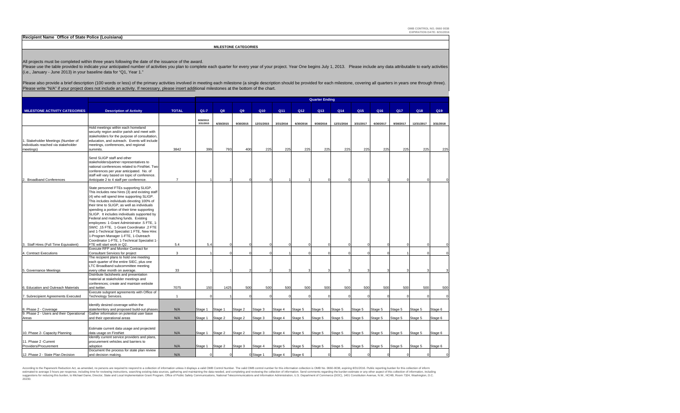**OMB CONTROL NO. 0660 0038 EXPIRATION DATE: 8/31/2016**

| Recipient Name Office of State Police (Louisiana)                   |                                                                                                                                                                                                                                |                |            |           |                             |            |           |           |                       |            |           |           |           |            |           |
|---------------------------------------------------------------------|--------------------------------------------------------------------------------------------------------------------------------------------------------------------------------------------------------------------------------|----------------|------------|-----------|-----------------------------|------------|-----------|-----------|-----------------------|------------|-----------|-----------|-----------|------------|-----------|
|                                                                     |                                                                                                                                                                                                                                |                |            |           | <b>MILESTONE CATEGORIES</b> |            |           |           |                       |            |           |           |           |            |           |
|                                                                     |                                                                                                                                                                                                                                |                |            |           |                             |            |           |           |                       |            |           |           |           |            |           |
|                                                                     | All projects must be completed within three years following the date of the issuance of the award.                                                                                                                             |                |            |           |                             |            |           |           |                       |            |           |           |           |            |           |
|                                                                     | Please use the table provided to indicate your anticipated number of activities you plan to complete each quarter for every year of your project. Year One begins July 1, 2013. Please include any data attributable to early  |                |            |           |                             |            |           |           |                       |            |           |           |           |            |           |
| (i.e., January - June 2013) in your baseline data for "Q1, Year 1." |                                                                                                                                                                                                                                |                |            |           |                             |            |           |           |                       |            |           |           |           |            |           |
|                                                                     | Please also provide a brief description (100 words or less) of the primary activities involved in meeting each milestone (a single description should be provided for each milestone, covering all quarters in years one throu |                |            |           |                             |            |           |           |                       |            |           |           |           |            |           |
|                                                                     | Please write "N/A" if your project does not include an activity. If necessary, please insert additional milestones at the bottom of the chart.                                                                                 |                |            |           |                             |            |           |           |                       |            |           |           |           |            |           |
|                                                                     |                                                                                                                                                                                                                                |                |            |           |                             |            |           |           | <b>Quarter Ending</b> |            |           |           |           |            |           |
|                                                                     |                                                                                                                                                                                                                                |                |            |           |                             |            |           |           |                       |            |           |           |           |            |           |
| <b>MILESTONE ACTIVITY CATEGORIES</b>                                | <b>Description of Activity</b>                                                                                                                                                                                                 | <b>TOTAL</b>   | $Q1 - 7$   | Q8        | Q9                          | Q10        | Q11       | Q12       | Q13                   | Q14        | Q15       | Q16       | Q17       | Q18        | Q19       |
|                                                                     |                                                                                                                                                                                                                                |                | 9/30/2013  |           |                             |            |           |           |                       |            |           |           |           |            |           |
|                                                                     | Hold meetings within each homeland                                                                                                                                                                                             |                | 3/31/2015  | 6/30/2015 | 9/30/2015                   | 12/31/2015 | 3/31/2016 | 6/30/2016 | 9/30/2016             | 12/31/2016 | 3/31/2017 | 6/30/2017 | 9/30/2017 | 12/31/2017 | 3/31/2018 |
|                                                                     | security region and/or parish and meet with                                                                                                                                                                                    |                |            |           |                             |            |           |           |                       |            |           |           |           |            |           |
| . Stakeholder Meetings (Number of                                   | stakeholders for the purpose of consultation,<br>education, and outreach. Events will include                                                                                                                                  |                |            |           |                             |            |           |           |                       |            |           |           |           |            |           |
| individuals reached via stakeholder                                 | meetings, conferences, and regional                                                                                                                                                                                            |                |            |           |                             |            |           |           |                       |            |           |           |           |            |           |
| meetings)                                                           | summits.                                                                                                                                                                                                                       | 3842           | 399        | 793       | 400                         | 225        | 225       | 225       | 225                   | 225        | 225       | 225       | 225       | 225        | 225       |
|                                                                     | Send SLIGP staff and other                                                                                                                                                                                                     |                |            |           |                             |            |           |           |                       |            |           |           |           |            |           |
|                                                                     | stakeholders/partner representatives to<br>national conferences related to FirstNet. Two                                                                                                                                       |                |            |           |                             |            |           |           |                       |            |           |           |           |            |           |
|                                                                     | conferences per year anticipated. No. of                                                                                                                                                                                       |                |            |           |                             |            |           |           |                       |            |           |           |           |            |           |
| <b>Broadband Conferences</b>                                        | staff will vary based on topic of conference.<br>Anticipate 2 to 4 staff per conference.                                                                                                                                       | $\overline{7}$ |            |           |                             |            |           |           |                       |            |           |           |           |            |           |
|                                                                     |                                                                                                                                                                                                                                |                |            |           |                             |            |           |           |                       |            |           |           |           |            |           |
|                                                                     | State personnel FTEs supporting SLIGP.<br>This includes new hires (3) and existing staff                                                                                                                                       |                |            |           |                             |            |           |           |                       |            |           |           |           |            |           |
|                                                                     | (4) who will spend time supporting SLIGP.                                                                                                                                                                                      |                |            |           |                             |            |           |           |                       |            |           |           |           |            |           |
|                                                                     | This includes individuals devoting 100% of<br>their time to SLIGP, as well as individuals                                                                                                                                      |                |            |           |                             |            |           |           |                       |            |           |           |           |            |           |
|                                                                     | spending a portion of their time supporting                                                                                                                                                                                    |                |            |           |                             |            |           |           |                       |            |           |           |           |            |           |
|                                                                     | SLIGP. It includes individuals supported by<br>Federal and matching funds. Existing                                                                                                                                            |                |            |           |                             |            |           |           |                       |            |           |           |           |            |           |
|                                                                     | employees: 1-Grant Administrator .5 FTE, 1-                                                                                                                                                                                    |                |            |           |                             |            |           |           |                       |            |           |           |           |            |           |
|                                                                     | SWIC.15 FTE, 1-Grant Coordinator .2 FTE                                                                                                                                                                                        |                |            |           |                             |            |           |           |                       |            |           |           |           |            |           |
|                                                                     | and 1-Technical Specialist 1 FTE, New Hire:<br>1-Program Manager 1-FTE, 1-Outreach                                                                                                                                             |                |            |           |                             |            |           |           |                       |            |           |           |           |            |           |
|                                                                     | Coordinator 1-FTE, 1-Technical Specialist 1-                                                                                                                                                                                   |                |            |           |                             |            |           |           |                       |            |           |           |           |            |           |
| Staff Hires (Full Time Equivalent)                                  | FTE will start work in Q2.<br>Execute RFP and Monitor Contract for                                                                                                                                                             | 5.4            | 5.4        |           |                             |            |           |           |                       |            |           |           |           |            |           |
| Contract Executions                                                 | Consultant Services for project                                                                                                                                                                                                | 3              |            |           |                             |            |           |           |                       |            |           |           |           |            |           |
|                                                                     | The recipient plans to hold one meeting<br>each quarter of the entire SIEC, plus one                                                                                                                                           |                |            |           |                             |            |           |           |                       |            |           |           |           |            |           |
|                                                                     | LTC Broadband subcommittee meeting                                                                                                                                                                                             |                |            |           |                             |            |           |           |                       |            |           |           |           |            |           |
| Governance Meetings                                                 | every other month on average.<br>Distribute factsheets and presentation                                                                                                                                                        | 33             |            |           |                             |            |           |           |                       |            |           |           |           |            |           |
|                                                                     | material at stakeholder meetings and                                                                                                                                                                                           |                |            |           |                             |            |           |           |                       |            |           |           |           |            |           |
|                                                                     | conferences; create and maintain website                                                                                                                                                                                       |                |            |           |                             |            |           |           |                       |            |           |           |           | 500        | 500       |
| . Education and Outreach Materials                                  | and twitter.<br>Execute subgrant agreements with Office of                                                                                                                                                                     | 7075           | 150        | 1425      | 500                         | 500        | 500       | 500       | 500                   | 500        | 500       | 500       | 500       |            |           |
| . Subrecipient Agreements Executed                                  | Technology Services.                                                                                                                                                                                                           | $\overline{1}$ |            |           |                             | $\cap$     | $\Omega$  |           |                       |            |           |           | $\Omega$  | $\Omega$   |           |
|                                                                     | Identify desired coverage within the                                                                                                                                                                                           |                |            |           |                             |            |           |           |                       |            |           |           |           |            |           |
| 8. Phase 2 - Coverage                                               | state/territory and proposed build-out phases<br>Gather information on potential user base                                                                                                                                     | N/A            | Stage 1    | Stage 1   | Stage 2                     | Stage 3    | Stage 4   | Stage 5   | Stage 5               | Stage 5    | Stage 5   | Stage 5   | Stage 5   | Stage 5    | Stage 6   |
| 9. Phase 2 - Users and their Operational<br>Areas                   | and their operational areas                                                                                                                                                                                                    | N/A            | Stage 1    | Stage 2   | Stage 2                     | Stage 3    | Stage 4   | Stage 5   | Stage 5               | Stage 5    | Stage 5   | Stage 5   | Stage 5   | Stage 5    | Stage 6   |
|                                                                     |                                                                                                                                                                                                                                |                |            |           |                             |            |           |           |                       |            |           |           |           |            |           |
| 10. Phase 2- Capacity Planning                                      | Estimate current data usage and projectetd<br>data usage on FirstNet                                                                                                                                                           | N/A            | Stage 1    | Stage 2   | Stage 2                     | Stage 3    | Stage 4   | Stage 5   | Stage 5               | Stage 5    | Stage 5   | Stage 5   | Stage 5   | Stage 5    | Stage 6   |
|                                                                     | Identify current service providers and plans,                                                                                                                                                                                  |                |            |           |                             |            |           |           |                       |            |           |           |           |            |           |
| 11. Phase 2 - Current                                               | procurement vehicles and barriers to                                                                                                                                                                                           |                |            |           |                             |            |           |           |                       |            |           |           |           |            |           |
| Providers/Procurement                                               | adoption<br>Document the process for state plan review                                                                                                                                                                         | N/A            | Stage 1    | Stage 2   | Stage 3                     | Stage 4    | Stage 5   | Stage 5   | Stage 5               | Stage 5    | Stage 5   | Stage 5   | Stage 5   | Stage 5    | Stage 6   |
| 12. Phase 2 - State Plan Decision                                   | and decision making.                                                                                                                                                                                                           | N/A            | $\sqrt{2}$ | $\Omega$  |                             | 0 Stage 1  | Stage 4   | Stage 6   |                       | $\epsilon$ |           |           | $\Omega$  | $\Omega$   |           |

According to the Paperwork Reduction Act, as amended, no persons are required to respond to a collection of information unless it displays a valid OMB Control Number. The valid OMB contents including the subsection informa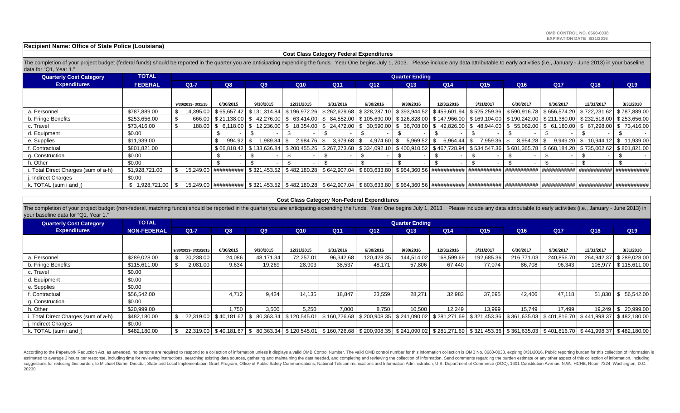### **Recipient Name: Office of State Police (Louisiana)**

### **Cost Class Category Federal Expenditures**

The completion of your project budget (federal funds) should be reported in the quarter you are anticipating expending the funds. Year One begins July 1, 2013. Please include any data attributable to early activities (i.e. data for "Q1, Year 1."

| <b>Quarterly Cost Category</b>        | <b>TOTAL</b>    | <b>Quarter Ending</b> |           |                       |                                           |                 |                       |                                                                                                                                                                                           |                 |                 |                 |                 |           |                                          |                 |
|---------------------------------------|-----------------|-----------------------|-----------|-----------------------|-------------------------------------------|-----------------|-----------------------|-------------------------------------------------------------------------------------------------------------------------------------------------------------------------------------------|-----------------|-----------------|-----------------|-----------------|-----------|------------------------------------------|-----------------|
| <b>Expenditures</b><br><b>FEDERAL</b> |                 | $Q1-7$                |           | Q8                    | Q9                                        | Q <sub>10</sub> | Q <sub>11</sub>       | Q12                                                                                                                                                                                       | Q <sub>13</sub> | Q <sub>14</sub> | Q <sub>15</sub> | Q <sub>16</sub> | Q17       | Q <sub>18</sub>                          | Q <sub>19</sub> |
|                                       |                 |                       |           |                       |                                           |                 |                       |                                                                                                                                                                                           |                 |                 |                 |                 |           |                                          |                 |
|                                       |                 | 9/30/2013-3/31/15     |           | 6/30/2015             | 9/30/2015                                 | 12/31/2015      | 3/31/2016             | 6/30/2016                                                                                                                                                                                 | 9/30/2016       | 12/31/2016      | 3/31/2017       | 6/30/2017       | 9/30/2017 | 12/31/2017                               | 3/31/2018       |
| a. Personnel                          | \$787.889.00    |                       | 14.395.00 |                       | \$65.657.42 \$131.314.84                  | \$196.972.26    |                       | \$ 262,629.68   \$ 328,287.10   \$ 393,944.52   \$ 459,601.94   \$ 525,259.36   \$ 590,916.78   \$ 656,574.20   \$ 722,231.62   \$ 787,889.00                                             |                 |                 |                 |                 |           |                                          |                 |
| b. Fringe Benefits                    | \$253,656.00    |                       | 666.00    |                       |                                           |                 |                       | \$ 211.38.00   \$ 42.276.00   \$ 63.414.00   \$ 84.552.00   \$ 105.690.00   \$ 126.828.00   \$ 147,966.00   \$ 169.104.00   \$ 190.242.00   \$ 211.380.00   \$ 232.518.00   \$ 253.656.00 |                 |                 |                 |                 |           |                                          |                 |
| c. Travel                             | \$73,416,00     |                       |           |                       |                                           |                 |                       | 188.00 \$ 6.118.00 \$ 12.236.00 \$ 18.354.00 \$ 24.472.00 \$ 30.590.00 \$ 36.708.00 \$ 42.826.00 \$ 48.944.00 \$ 55.062.00 \$ 61.180.00 \$ 67.298.00 \$ 73.416.00                         |                 |                 |                 |                 |           |                                          |                 |
| d. Equipment                          | \$0.00          |                       |           |                       |                                           |                 |                       |                                                                                                                                                                                           |                 |                 |                 |                 |           |                                          |                 |
| e. Supplies                           | \$11,939.00     |                       |           | $994.92$ \$           | 1.989.84                                  | \$.<br>2.984.76 | $3.979.68$ \$<br>- \$ | 4,974.60 \$                                                                                                                                                                               | $5,969.52$ \$   | 6.964.44        | 7,959.36<br>-SS | $8,954.28$ \$   |           | $9,949.20$ \ \$ 10,944.12 \ \$ 11,939.00 |                 |
| f. Contractual                        | \$801,821.00    |                       |           |                       | \$66.818.42   \$133.636.84   \$200.455.26 |                 |                       | \$ 267,273.68   \$ 334,092.10   \$ 400,910.52   \$ 467,728.94   \$ 534,547.36   \$ 601,365.78   \$ 668,184.20   \$ 735,002.62   \$ 801,821.00                                             |                 |                 |                 |                 |           |                                          |                 |
| g. Construction                       | \$0.00          |                       |           |                       |                                           |                 |                       |                                                                                                                                                                                           |                 |                 |                 |                 |           |                                          |                 |
| h. Other                              | \$0.00          |                       |           |                       |                                           |                 |                       |                                                                                                                                                                                           |                 |                 |                 |                 |           |                                          |                 |
| i. Total Direct Charges (sum of a-h)  | \$1,928,721.00  |                       |           | 15.249.00 ########### |                                           |                 |                       |                                                                                                                                                                                           |                 |                 |                 |                 |           | ############   ############              |                 |
| j. Indirect Charges                   | \$0.00          |                       |           |                       |                                           |                 |                       |                                                                                                                                                                                           |                 |                 |                 |                 |           |                                          |                 |
| k. TOTAL (sum i and j)                | \$ 1.928.721.00 |                       |           |                       |                                           |                 |                       |                                                                                                                                                                                           |                 |                 |                 |                 |           |                                          |                 |

The completion of your project budget (non-federal, matching funds) should be reported in the quarter you are anticipating expending the funds. Year One begins July 1, 2013. Please include any data attributable to early ac your baseline data for "Q1, Year 1."

| <b>Quarterly Cost Category</b>      | <b>TOTAL</b>       |    | <b>Quarter Ending</b> |                         |           |                          |                 |                 |                 |                 |                 |                 |                                                                                                                      |                 |                                                                                                                                                                                    |
|-------------------------------------|--------------------|----|-----------------------|-------------------------|-----------|--------------------------|-----------------|-----------------|-----------------|-----------------|-----------------|-----------------|----------------------------------------------------------------------------------------------------------------------|-----------------|------------------------------------------------------------------------------------------------------------------------------------------------------------------------------------|
| <b>Expenditures</b>                 | <b>NON-FEDERAL</b> |    | Q8<br>$Q1 - 7$        |                         | Q9        |                          | Q <sub>11</sub> | Q <sub>12</sub> | Q <sub>13</sub> | Q <sub>14</sub> | Q <sub>15</sub> | Q <sub>16</sub> | Q <sub>17</sub>                                                                                                      | Q <sub>18</sub> | Q19                                                                                                                                                                                |
|                                     |                    |    |                       |                         |           |                          |                 |                 |                 |                 |                 |                 |                                                                                                                      |                 |                                                                                                                                                                                    |
|                                     |                    |    | 9/30/2013-3/31/2015   | 6/30/2015               | 9/30/2015 | 12/31/2015               | 3/31/2016       | 6/30/2016       | 9/30/2016       | 12/31/2016      | 3/31/2017       | 6/30/2017       | 9/30/2017                                                                                                            | 12/31/2017      | 3/31/2018                                                                                                                                                                          |
| a. Personnel                        | \$289,028.00       |    | 20,238.00             | 24,086                  | 48,171.34 | 72,257.01                | 96,342.68       | 120,428.35      | 144,514.02      | 168,599.69      | 192,685.36      | 216,771.03      | 240,856.70                                                                                                           | 264,942.37      | \$289,028.00                                                                                                                                                                       |
| b. Fringe Benefits                  | \$115,611.00       |    | 2,081.00              | 9,634                   | 19,269    | 28,903                   | 38,537          | 48,171          | 57,806          | 67,440          | 77,074          | 86,708          | 96,343                                                                                                               |                 | 105,977   \$115,611.00                                                                                                                                                             |
| c. Travel                           | \$0.00             |    |                       |                         |           |                          |                 |                 |                 |                 |                 |                 |                                                                                                                      |                 |                                                                                                                                                                                    |
| d. Equipment                        | \$0.00             |    |                       |                         |           |                          |                 |                 |                 |                 |                 |                 |                                                                                                                      |                 |                                                                                                                                                                                    |
| e. Supplies                         | \$0.00             |    |                       |                         |           |                          |                 |                 |                 |                 |                 |                 |                                                                                                                      |                 |                                                                                                                                                                                    |
| . Contractual                       | \$56,542.00        |    |                       | 4,712                   | 9,424     | 14,135                   | 18,847          | 23,559          | 28,271          | 32,983          | 37,695          | 42,406          | 47,118                                                                                                               |                 | $51,830$ \ \$ 56,542.00                                                                                                                                                            |
| g. Construction                     | \$0.00             |    |                       |                         |           |                          |                 |                 |                 |                 |                 |                 |                                                                                                                      |                 |                                                                                                                                                                                    |
| h. Other                            | \$20,999.00        |    |                       | 1.750                   | 3,500     | 5,250                    | 7,000           | 8.750           | 10,500          | 12,249          | 13,999          | 15.749          | 17.499                                                                                                               | 19.249          | \$ 20,999.00                                                                                                                                                                       |
| . Total Direct Charges (sum of a-h) | \$482,180.00       |    |                       | 22,319.00   \$40,181.67 | \$        | 80,363.34   \$120,545.01 |                 |                 |                 |                 |                 |                 | \$160,726.68 \$200,908.35 \$241,090.02 \$281,271.69 \$321,453.36 \$361,635.03 \$401,816.70 \$441,998.37 \$482,180.00 |                 |                                                                                                                                                                                    |
| Indirect Charges                    | \$0.00             |    |                       |                         |           |                          |                 |                 |                 |                 |                 |                 |                                                                                                                      |                 |                                                                                                                                                                                    |
| k. TOTAL (sum i and j)              | \$482,180.00       | S. |                       |                         |           |                          |                 |                 |                 |                 |                 |                 |                                                                                                                      |                 | 22,319.00 \$401,816.70 \$441,998.37 \$482,180.00 \$120,545.01 \$160,726.68 \$200,908.35 \$241,090.02 \$281,271.69 \$321,453.36 \$361,635.03 \$401,816.70 \$441,998.37 \$482,180.00 |

According to the Paperwork Reduction Act, as amended, no persons are required to respond to a collection of information unless it displays a valid OMB Control Number. The valid OMB control number for this information colle estimated to average 3 hours per response, including time for reviewing instructions, searching existing data sources, gathering and maintaining the data needed, and completing and reviewing the collection of information. suggestions for reducing this burden, to Michael Dame, Director, State and Local Implementation Grant Program, Office of Public Safety Communications, National Telecommunications and Information Administration, U.S. Depart 20230.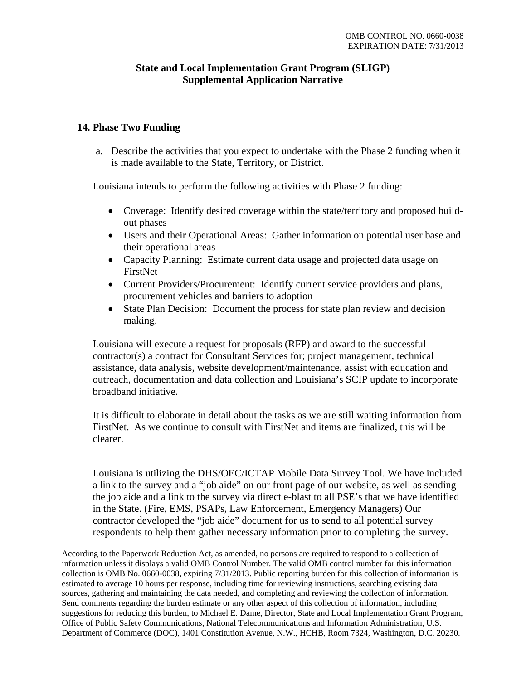# **State and Local Implementation Grant Program (SLIGP) Supplemental Application Narrative**

# **14. Phase Two Funding**

a. Describe the activities that you expect to undertake with the Phase 2 funding when it is made available to the State, Territory, or District.

Louisiana intends to perform the following activities with Phase 2 funding:

- Coverage: Identify desired coverage within the state/territory and proposed buildout phases
- Users and their Operational Areas: Gather information on potential user base and their operational areas
- Capacity Planning: Estimate current data usage and projected data usage on FirstNet
- Current Providers/Procurement: Identify current service providers and plans, procurement vehicles and barriers to adoption
- State Plan Decision: Document the process for state plan review and decision making.

Louisiana will execute a request for proposals (RFP) and award to the successful contractor(s) a contract for Consultant Services for; project management, technical assistance, data analysis, website development/maintenance, assist with education and outreach, documentation and data collection and Louisiana's SCIP update to incorporate broadband initiative.

It is difficult to elaborate in detail about the tasks as we are still waiting information from FirstNet. As we continue to consult with FirstNet and items are finalized, this will be clearer.

Louisiana is utilizing the DHS/OEC/ICTAP Mobile Data Survey Tool. We have included a link to the survey and a "job aide" on our front page of our website, as well as sending the job aide and a link to the survey via direct e-blast to all PSE's that we have identified in the State. (Fire, EMS, PSAPs, Law Enforcement, Emergency Managers) Our contractor developed the "job aide" document for us to send to all potential survey respondents to help them gather necessary information prior to completing the survey.

According to the Paperwork Reduction Act, as amended, no persons are required to respond to a collection of information unless it displays a valid OMB Control Number. The valid OMB control number for this information collection is OMB No. 0660-0038, expiring 7/31/2013. Public reporting burden for this collection of information is estimated to average 10 hours per response, including time for reviewing instructions, searching existing data sources, gathering and maintaining the data needed, and completing and reviewing the collection of information. Send comments regarding the burden estimate or any other aspect of this collection of information, including suggestions for reducing this burden, to Michael E. Dame, Director, State and Local Implementation Grant Program, Office of Public Safety Communications, National Telecommunications and Information Administration, U.S. Department of Commerce (DOC), 1401 Constitution Avenue, N.W., HCHB, Room 7324, Washington, D.C. 20230.